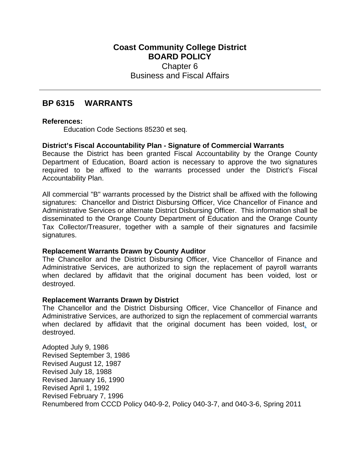# **Coast Community College District BOARD POLICY** Chapter 6 Business and Fiscal Affairs

# **BP 6315 WARRANTS**

## **References:**

Education Code Sections 85230 et seq.

## **District's Fiscal Accountability Plan - Signature of Commercial Warrants**

Because the District has been granted Fiscal Accountability by the Orange County Department of Education, Board action is necessary to approve the two signatures required to be affixed to the warrants processed under the District's Fiscal Accountability Plan.

All commercial "B" warrants processed by the District shall be affixed with the following signatures: Chancellor and District Disbursing Officer, Vice Chancellor of Finance and Administrative Services or alternate District Disbursing Officer. This information shall be disseminated to the Orange County Department of Education and the Orange County Tax Collector/Treasurer, together with a sample of their signatures and facsimile signatures.

## **Replacement Warrants Drawn by County Auditor**

The Chancellor and the District Disbursing Officer, Vice Chancellor of Finance and Administrative Services, are authorized to sign the replacement of payroll warrants when declared by affidavit that the original document has been voided, lost or destroyed.

## **Replacement Warrants Drawn by District**

The Chancellor and the District Disbursing Officer, Vice Chancellor of Finance and Administrative Services, are authorized to sign the replacement of commercial warrants when declared by affidavit that the original document has been voided, lost, or destroyed.

Adopted July 9, 1986 Revised September 3, 1986 Revised August 12, 1987 Revised July 18, 1988 Revised January 16, 1990 Revised April 1, 1992 Revised February 7, 1996 Renumbered from CCCD Policy 040-9-2, Policy 040-3-7, and 040-3-6, Spring 2011